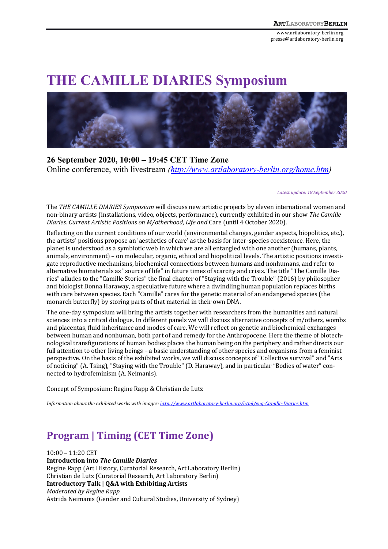www.artlaboratory-berlin.org presse@artlaboratory-berlin.org

# **THE CAMILLE DIARIES Symposium**



**26 September 2020, 10:00 – 19:45 CET Time Zone** Online conference, with livestream *(http://www.artlaboratory-berlin.org/home.htm)*

*Latest update: 18 September 2020*

The *THE CAMILLE DIARIES Symposium* will discuss new artistic projects by eleven international women and non-binary artists (installations, video, objects, performance), currently exhibited in our show The Camille *Diaries. Current Artistic Positions on M/otherhood, Life and Care (until 4 October 2020).* 

Reflecting on the current conditions of our world (environmental changes, gender aspects, biopolitics, etc.), the artists' positions propose an 'aesthetics of care' as the basis for inter-species coexistence. Here, the planet is understood as a symbiotic web in which we are all entangled with one another (humans, plants, animals, environment) – on molecular, organic, ethical and biopolitical levels. The artistic positions investigate reproductive mechanisms, biochemical connections between humans and nonhumans, and refer to alternative biomaterials as "source of life" in future times of scarcity and crisis. The title "The Camille Diaries" alludes to the "Camille Stories" the final chapter of "Staying with the Trouble" (2016) by philosopher and biologist Donna Haraway, a speculative future where a dwindling human population replaces births with care between species. Each "Camille" cares for the genetic material of an endangered species (the monarch butterfly) by storing parts of that material in their own DNA.

The one-day symposium will bring the artists together with researchers from the humanities and natural sciences into a critical dialogue. In different panels we will discuss alternative concepts of m/others, wombs and placentas, fluid inheritance and modes of care. We will reflect on genetic and biochemical exchanges between human and nonhuman, both part of and remedy for the Anthropocene. Here the theme of biotechnological transfigurations of human bodies places the human being on the periphery and rather directs our full attention to other living beings – a basic understanding of other species and organisms from a feminist perspective. On the basis of the exhibited works, we will discuss concepts of "Collective survival" and "Arts of noticing" (A. Tsing), "Staying with the Trouble" (D. Haraway), and in particular "Bodies of water" connected to hydrofeminism (A. Neimanis).

Concept of Symposium: Regine Rapp & Christian de Lutz

*Information about the exhibited works with images: http://www.artlaboratory-berlin.org/html/eng-Camille-Diaries.htm* 

# **Program | Timing (CET Time Zone)**

 $10:00 - 11:20$  CET **Introduction into** *The Camille Diaries* Regine Rapp (Art History, Curatorial Research, Art Laboratory Berlin) Christian de Lutz (Curatorial Research, Art Laboratory Berlin) **Introductory Talk | Q&A with Exhibiting Artists** *Moderated by Regine Rapp* Astrida Neimanis (Gender and Cultural Studies, University of Sydney)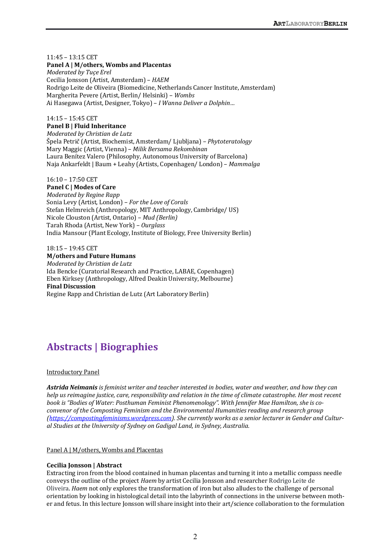# $11:45 - 13:15$  CET

**Panel A | M/others, Wombs and Placentas** *Moderated by Tuçe Erel* Cecilia Jonsson (Artist, Amsterdam) – *HAEM* Rodrigo Leite de Oliveira (Biomedicine, Netherlands Cancer Institute, Amsterdam) Margherita Pevere (Artist, Berlin/ Helsinki) – *Wombs* Ai Hasegawa (Artist, Designer, Tokyo) - *I Wanna Deliver a Dolphin...* 

### 14:15 – 15:45 CET

# **Panel B | Fluid Inheritance**

*Moderated by Christian de Lutz* Špela Petrič (Artist, Biochemist, Amsterdam/ Ljubljana) – *Phytoteratology* Mary Maggic (Artist, Vienna) – *Milik Bersama Rekombinan* Laura Benítez Valero (Philosophy, Autonomous University of Barcelona) Naja Ankarfeldt | Baum + Leahy (Artists, Copenhagen/ London) - *Mammalga* 

# 16:10 – 17:50 CET

**Panel C | Modes of Care** *Moderated by Regine Rapp* Sonia Levy (Artist, London) - For the Love of Corals Stefan Helmreich (Anthropology, MIT Anthropology, Cambridge/ US) Nicole Clouston (Artist, Ontario) – *Mud (Berlin)* Tarah Rhoda (Artist, New York) – *Ourglass* India Mansour (Plant Ecology, Institute of Biology, Free University Berlin)

# 18:15 – 19:45 CET

# **M/others and Future Humans**

*Moderated by Christian de Lutz* Ida Bencke (Curatorial Research and Practice, LABAE, Copenhagen) Eben Kirksey (Anthropology, Alfred Deakin University, Melbourne) **Final Discussion** Regine Rapp and Christian de Lutz (Art Laboratory Berlin)

# **Abstracts | Biographies**

# **Introductory Panel**

Astrida Neimanis is feminist writer and teacher interested in bodies, water and weather, and how they can *help* us reimagine justice, care, responsibility and relation in the time of climate catastrophe. Her most recent book is "Bodies of Water: Posthuman Feminist Phenomenology". With Jennifer Mae Hamilton, she is co*convenor of the Composting Feminism and the Environmental Humanities reading and research group (https://compostingfeminisms.wordpress.com).* She *currently works as a senior lecturer in Gender and Cultural Studies at the University of Sydney on Gadigal Land, in Sydney, Australia.*

# Panel A | M/others, Wombs and Placentas

# **Cecilia Jonsson | Abstract**

Extracting iron from the blood contained in human placentas and turning it into a metallic compass needle conveys the outline of the project *Haem* by artist Cecilia Jonsson and researcher Rodrigo Leite de Oliveira. *Haem* not only explores the transformation of iron but also alludes to the challenge of personal orientation by looking in histological detail into the labyrinth of connections in the universe between mother and fetus. In this lecture Jonsson will share insight into their art/science collaboration to the formulation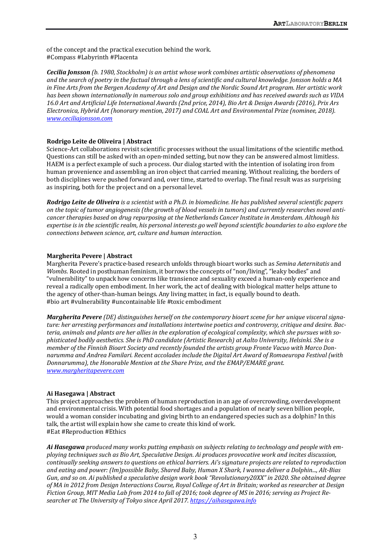of the concept and the practical execution behind the work. #Compass #Labyrinth #Placenta

*Cecilia Jonsson* (b. 1980, Stockholm) is an artist whose work combines artistic observations of phenomena and the search of poetry in the factual through a lens of scientific and cultural knowledge. Jonsson holds a MA *in Fine Arts from the Bergen Academy of Art and Design and the Nordic Sound Art program. Her artistic work* has been shown internationally in numerous solo and group exhibitions and has received awards such as VIDA 16.0 Art and Artificial Life International Awards (2nd price, 2014), Bio Art & Design Awards (2016), Prix Ars *Electronica, Hybrid Art (honorary mention, 2017) and COAL Art and Environmental Prize (nominee, 2018). www.ceciliajonsson.com*

#### **Rodrigo Leite de Oliveira | Abstract**

Science-Art collaborations revisit scientific processes without the usual limitations of the scientific method. Questions can still be asked with an open-minded setting, but now they can be answered almost limitless. HAEM is a perfect example of such a process. Our dialog started with the intention of isolating iron from human provenience and assembling an iron object that carried meaning. Without realizing, the borders of both disciplines were pushed forward and, over time, started to overlap. The final result was as surprising as inspiring, both for the project and on a personal level.

**Rodrigo Leite de Oliveira** is a scientist with a Ph.D. in biomedicine. He has published several scientific papers on the topic of tumor angiogenesis (the growth of blood vessels in tumors) and currently researches novel anti*cancer* therapies based on drug repurposing at the Netherlands Cancer Institute in Amsterdam. Although his *expertise is in the scientific realm, his personal interests ao well beyond scientific boundaries to also explore the connections between science, art, culture and human interaction.*

#### **Margherita Pevere | Abstract**

Margherita Pevere's practice-based research unfolds through bioart works such as *Semina Aeternitatis* and *Wombs*. Rooted in posthuman feminism, it borrows the concepts of "non/living", "leaky bodies" and "vulnerability" to unpack how concerns like transience and sexuality exceed a human-only experience and reveal a radically open embodiment. In her work, the act of dealing with biological matter helps attune to the agency of other-than-human beings. Any living matter, in fact, is equally bound to death. #bio art #vulnerability #uncontainable life #toxic embodiment

*Margherita Pevere* (DE) distinguishes herself on the contemporary bioart scene for her unique visceral signature: her arresting performances and installations intertwine poetics and controversy, critique and desire. Bacteria, animals and plants are her allies in the exploration of ecological complexity, which she pursues with so*phisticated bodily aesthetics. She is PhD candidate (Artistic Research) at Aalto University, Helsinki. She is a member* of the Finnish Bioart Society and recently founded the artists aroup Fronte Vacuo with Marco Donnarumma and Andrea Familari. Recent accolades include the Digital Art Award of Romaeuropa Festival (with *Donnarumma), the Honorable Mention at the Share Prize, and the EMAP/EMARE grant. www.margheritapevere.com*

#### Ai Hasegawa | Abstract

This project approaches the problem of human reproduction in an age of overcrowding, overdevelopment and environmental crisis. With potential food shortages and a population of nearly seven billion people, would a woman consider incubating and giving birth to an endangered species such as a dolphin? In this talk, the artist will explain how she came to create this kind of work. #Eat #Reproduction #Ethics

Ai Hasegawa produced many works putting emphasis on subjects relating to technology and people with em*ploying techniques* such as *Bio Art, Speculative Design. Ai produces provocative work and incites discussion, continually seeking answers to questions on ethical barriers. Ai's signature projects are related to reproduction* and eating and power: (Im)possible Baby, Shared Baby, *Human X Shark, I wanna deliver a Dolphin..., Alt-Bias Gun, and so on. Ai published a speculative design work book "Revolutionary20XX" in 2020. She obtained degree* of MA in 2012 from Design Interactions Course, Royal College of Art in Britain; worked as researcher at Design Fiction Group, MIT Media Lab from 2014 to fall of 2016; took degree of MS in 2016; serving as Project Researcher at The University of Tokyo since April 2017. https://aihasegawa.info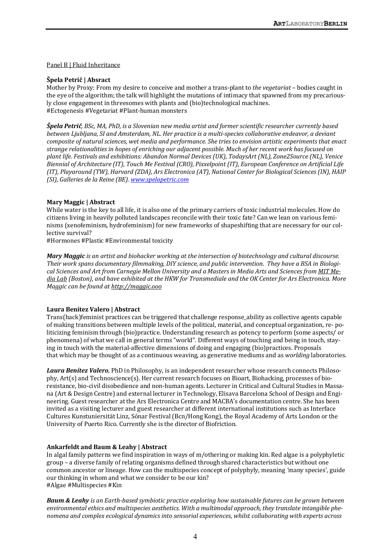# Panel B | Fluid Inheritance

# **Špela Petrič | Absract**

Mother by Proxy: From my desire to conceive and mother a trans-plant to *the vegetariat* – bodies caught in the eye of the algorithm; the talk will highlight the mutations of intimacy that spawned from my precariously close engagement in threesomes with plants and (bio)technological machines. #Ectogenesis #Vegetariat #Plant-human monsters

*Špela Petrič, BSc, MA, PhD, is a Slovenian new media artist and former scientific researcher currently based between Liubliana, SI and Amsterdam, NL. Her practice is a multi-species collaborative endeavor, a deviant composite of natural sciences, wet media and performance. She tries to envision artistic experiments that enact* strange relationalities in hopes of enriching our adjacent possible. Much of her recent work has focused on *plant life. Festivals and exhibitions: Abandon Normal Devices (UK), TodaysArt (NL), Zone2Source (NL), Venice Biennial of Architecture (IT), Touch Me Festival (CRO), Pixxelpoint (IT), European Conference on Artificial Life (IT), Playaround (TW), Harvard (ZDA), Ars Electronica (AT), National Center for Biological Sciences (IN), HAIP (SI), Galleries de la Reine (BE). www.spelapetric.com*

# **Mary Maggic** | **Abstract**

While water is the key to all life, it is also one of the primary carriers of toxic industrial molecules. How do citizens living in heavily polluted landscapes reconcile with their toxic fate? Can we lean on various feminisms (xenofeminism, hydrofeminism) for new frameworks of shapeshifting that are necessary for our collective survival?

#Hormones #Plastic #Environmental toxicity

*Mary Maggic is an artist and biohacker working at the intersection of biotechnology and cultural discourse.* Their work spans documentary filmmaking, DIY science, and public intervention. They have a BSA in Biologi*cal Sciences and Art from Carnegie Mellon University and a Masters in Media Arts and Sciences from MIT Media Lab* (Boston), and have exhibited at the HKW for Transmediale and the OK Center for Ars Electronica. More *Maggic can be found at http://maggic.ooo*

# **Laura Benítez Valero | Abstract**

Trans(hack)feminist practices can be triggered that challenge response\_ability as collective agents capable of making transitions between multiple levels of the political, material, and conceptual organization, re- politicizing feminism through (bio)practice. Understanding research as potency to perform (some aspects/ or phenomena) of what we call in general terms "world". Different ways of touching and being in touch, staying in touch with the material-affective dimensions of doing and engaging (bio)practices. Proposals that which may be thought of as a continuous weaving, as generative mediums and as *worlding* laboratories.

Laura Benítez Valero, PhD in Philosophy, is an independent researcher whose research connects Philosophy, Art(s) and Technoscience(s). Her current research focuses on Bioart, Biohacking, processes of bioresistance, bio-civil disobedience and non-human agents. Lecturer in Critical and Cultural Studies in Massana (Art & Design Centre) and external lecturer in Technology, Elisava Barcelona School of Design and Engineering. Guest researcher at the Ars Electronica Centre and MACBA's documentation centre. She has been invited as a visiting lecturer and guest researcher at different international institutions such as Interface Cultures Kunstuniersität Linz, Sónar Festival (Bcn/Hong Kong), the Royal Academy of Arts London or the University of Puerto Rico. Currently she is the director of Biofriction.

# **Ankarfeldt and Baum & Leahy | Abstract**

In algal family patterns we find inspiration in ways of m/othering or making kin. Red algae is a polyphyletic group - a diverse family of relating organisms defined through shared characteristics but without one common ancestor or lineage. How can the multispecies concept of polyphyly, meaning 'many species', guide our thinking in whom and what we consider to be our kin? #Algae #Multispecies #Kin

**Baum & Leahy** is an Earth-based symbiotic practice exploring how sustainable futures can be grown between environmental ethics and multispecies aesthetics. With a multimodal approach, they translate intangible phe*nomena and complex ecological dynamics into sensorial experiences, whilst collaborating with experts across*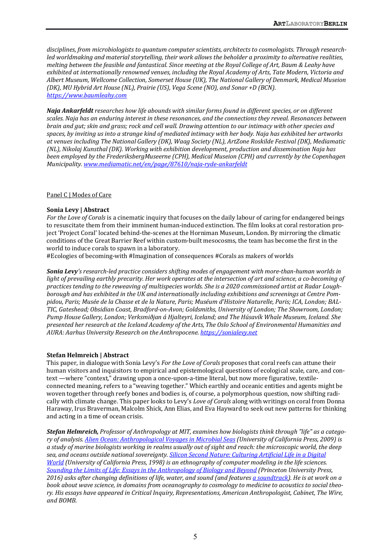disciplines, from microbiologists to quantum computer scientists, architects to cosmologists. Through research*led* worldmaking and material storytelling, their work allows the beholder a proximity to alternative realities, *melting between the feasible and fantastical. Since meeting at the Royal College of Art, Baum & Leahy have* exhibited at internationally renowned venues, including the Royal Academy of Arts, Tate Modern, Victoria and Albert Museum, Wellcome Collection, Somerset House (UK), The National Gallery of Denmark, Medical Museion *(DK), MU Hybrid Art House (NL), Prairie (US), Vega Scene (NO), and Sonar +D (BCN). https://www.baumleahy.com*

*Naja Ankarfeldt researches how life abounds with similar forms found in different species, or on different scales.* Naja has an enduring interest in these resonances, and the connections they reveal. Resonances between *brain and gut;* skin and grass; rock and cell wall. Drawing attention to our intimacy with other species and spaces, by inviting us into a strange kind of mediated intimacy with her body. Naja has exhibited her artworks at venues including The National Gallery (DK), Waag Society (NL), ArtZone Roskilde Festival (DK), Mediamatic *(NL), Nikolaj Kunsthal (DK). Working with exhibition development, production and dissemination Naja has been employed by the FrederiksbergMuseerne* (CPH), Medical Museion (CPH) and currently by the Copenhagen *Municipality. www.mediamatic.net/en/page/87610/naja-ryde-ankarfeldt*

#### Panel C | Modes of Care

#### **Sonia Levy | Abstract**

*For the Love of Corals* is a cinematic inquiry that focuses on the daily labour of caring for endangered beings to resuscitate them from their imminent human-induced extinction. The film looks at coral restoration project 'Project Coral' located behind-the-scenes at the Horniman Museum, London. By mirroring the climatic conditions of the Great Barrier Reef within custom-built mesocosms, the team has become the first in the world to induce corals to spawn in a laboratory.

#Ecologies of becoming-with #Imagination of consequences #Corals as makers of worlds

**Sonia Levy**'s research-led practice considers shifting modes of engagement with more-than-human worlds in *light* of prevailing earthly precarity. Her work operates at the intersection of art and science, a co-becoming of practices tending to the reweaving of multispecies worlds. She is a 2020 commissioned artist at Radar Lough*borough* and has exhibited in the UK and internationally including exhibitions and screenings at Centre Pompidou, Paris; Musée de la Chasse et de la Nature, Paris; Muséum d'Histoire Naturelle, Paris; ICA, London; BAL-*TIC, Gateshead; Obsidian Coast, Bradford-on-Avon; Goldsmiths, University of London; The Showroom, London;*  Pump House Gallery, London; Verksmiðjan á Hjalteyri, Iceland; and The Húsavík Whale Museum, Iceland. She presented her research at the Iceland Academy of the Arts, The Oslo School of Environmental Humanities and *AURA: Aarhus University Research on the Anthropocene. https://sonialevy.net*

#### **Stefan Helmreich | Abstract**

This paper, in dialogue with Sonia Levy's *For the Love of Corals* proposes that coral reefs can attune their human visitors and inquisitors to empirical and epistemological questions of ecological scale, care, and context —where "context," drawing upon a once-upon-a-time literal, but now more figurative, textileconnected meaning, refers to a "weaving together." Which earthly and oceanic entities and agents might be woven together through reefy bones and bodies is, of course, a polymorphous question, now shifting radically with climate change. This paper looks to Levy's *Love of Corals* along with writings on coral from Donna Haraway, Irus Braverman, Malcolm Shick, Ann Elias, and Eva Hayward to seek out new patterns for thinking and acting in a time of ocean crisis.

**Stefan Helmreich,** Professor of Anthropology at MIT, examines how biologists think through "life" as a catego*ry* of analysis. *Alien Ocean: Anthropological Voyages in Microbial Seas (University of California Press, 2009)* is *a* study of marine biologists working in realms usually out of sight and reach: the microscopic world, the deep sea, and oceans outside national sovereignty. Silicon Second Nature: Culturing Artificial Life in a Digital *World (University of California Press, 1998)* is an ethnography of computer modeling in the life sciences. *Sounding the Limits of Life: Essays in the Anthropology of Biology and Beyond (Princeton University Press,* 2016) asks after changing definitions of life, water, and sound (and features *a* soundtrack). He is at work on a book about wave science, in domains from oceanography to cosmology to medicine to acoustics to social theo*ry. His essays have appeared in Critical Inquiry, Representations, American Anthropologist, Cabinet, The Wire, and BOMB.*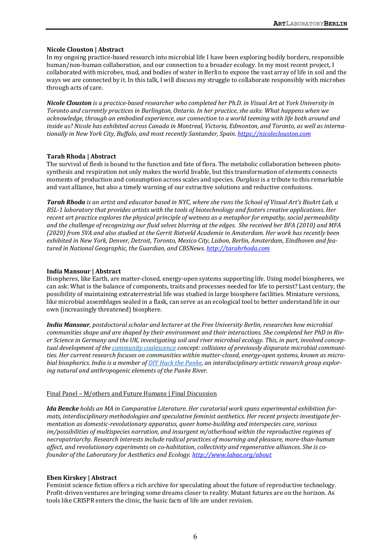# **Nicole Clouston | Abstract**

In my ongoing practice-based research into microbial life I have been exploring bodily borders, responsible human/non-human collaboration, and our connection to a broader ecology. In my most recent project, I collaborated with microbes, mud, and bodies of water in Berlin to expose the vast array of life in soil and the ways we are connected by it. In this talk, I will discuss my struggle to collaborate responsibly with microbes through acts of care.

*Nicole Clouston* is a practice-based researcher who completed her Ph.D. in Visual Art at York University in *Toronto and currently practices in Burlington, Ontario. In her practice, she asks: What happens when we* acknowledge, through an embodied experience, our connection to a world teeming with life both around and inside us? Nicole has exhibited across Canada in Montreal, Victoria, Edmonton, and Toronto, as well as internationally in New York City, Buffalo, and most recently Santander, Spain. https://nicoleclouston.com

# **Tarah Rhoda | Abstract**

The survival of flesh is bound to the function and fate of flora. The metabolic collaboration between photosynthesis and respiration not only makes the world livable, but this transformation of elements connects moments of production and consumption across scales and species. *Ourglass* is a tribute to this remarkable and vast alliance, but also a timely warning of our extractive solutions and reductive confusions.

**Tarah Rhoda** is an artist and educator based in NYC, where she runs the School of Visual Art's BioArt Lab, a *BSL-1* laboratory that provides artists with the tools of biotechnology and fosters creative applications. Her *recent art practice explores the physical principle of wetness as a metaphor for empathy, social permeability* and the challenge of recognizing our fluid selves blurring at the edges. She received her BFA (2010) and MFA (2020) from SVA and also studied at the Gerrit Rietveld Academie in Amsterdam. Her work has recently been exhibited in New York, Denver, Detroit, Toronto, Mexico City, Lisbon, Berlin, Amsterdam, Eindhoven and fea*tured in National Geographic, the Guardian, and CBSNews. http://tarahrhoda.com*

# **India Mansour | Abstract**

Biospheres, like Earth, are matter-closed, energy-open systems supporting life. Using model biospheres, we can ask: What is the balance of components, traits and processes needed for life to persist? Last century, the possibility of maintaining extraterrestrial life was studied in large biosphere facilities. Miniature versions, like microbial assemblages sealed in a flask, can serve as an ecological tool to better understand life in our own (increasingly threatened) biosphere.

*India Mansour, postdoctoral scholar and lecturer at the Free University Berlin, researches how microbial communities shape and are shaped by their environment and their interactions. She completed her PhD in Riv*er Science in Germany and the UK, investigating soil and river microbial ecology. This, in part, involved conceptual development of the *community coalescence concept: collisions* of previously disparate microbial communities. Her current research focuses on communities within matter-closed, energy-open systems, known as micro*bial biospherics. India is a member of DIY Hack the Panke, an interdisciplinary artistic research group explor*ing natural and anthropogenic elements of the Panke River.

# Final Panel - M/others and Future Humans | Final Discussion

*Ida Bencke* holds an MA in Comparative Literature. Her curatorial work spans experimental exhibition formats, interdisciplinary methodologies and speculative feminist aesthetics. Her recent projects investigate fer*mentation as domestic-revolutionary apparatus, queer home-building and interspecies care, various im/possibilities* of multispecies narration, and insurgent m/otherhood within the reproductive regimes of *necropatriarchy. Research interests include radical practices of mourning and pleasure, more-than-human*  affect, and revolutionary experiments on co-habitation, collectivity and regenerative alliances. She is co*founder of the Laboratory for Aesthetics and Ecology. http://www.labae.org/about* 

# **Eben Kirskey | Abstract**

Feminist science fiction offers a rich archive for speculating about the future of reproductive technology. Profit-driven ventures are bringing some dreams closer to reality. Mutant futures are on the horizon. As tools like CRISPR enters the clinic, the basic facts of life are under revision.